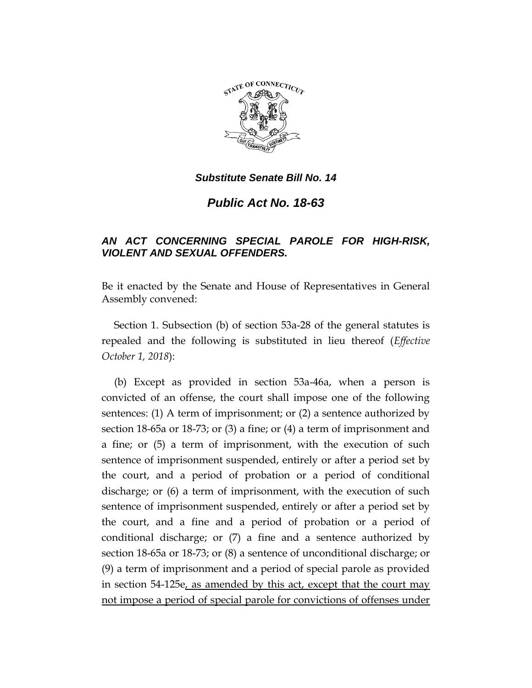

*Substitute Senate Bill No. 14*

*Public Act No. 18-63*

## *AN ACT CONCERNING SPECIAL PAROLE FOR HIGH-RISK, VIOLENT AND SEXUAL OFFENDERS.*

Be it enacted by the Senate and House of Representatives in General Assembly convened:

Section 1. Subsection (b) of section 53a-28 of the general statutes is repealed and the following is substituted in lieu thereof (*Effective October 1, 2018*):

(b) Except as provided in section 53a-46a, when a person is convicted of an offense, the court shall impose one of the following sentences: (1) A term of imprisonment; or (2) a sentence authorized by section 18-65a or 18-73; or (3) a fine; or (4) a term of imprisonment and a fine; or (5) a term of imprisonment, with the execution of such sentence of imprisonment suspended, entirely or after a period set by the court, and a period of probation or a period of conditional discharge; or (6) a term of imprisonment, with the execution of such sentence of imprisonment suspended, entirely or after a period set by the court, and a fine and a period of probation or a period of conditional discharge; or (7) a fine and a sentence authorized by section 18-65a or 18-73; or (8) a sentence of unconditional discharge; or (9) a term of imprisonment and a period of special parole as provided in section 54-125e, as amended by this act, except that the court may not impose a period of special parole for convictions of offenses under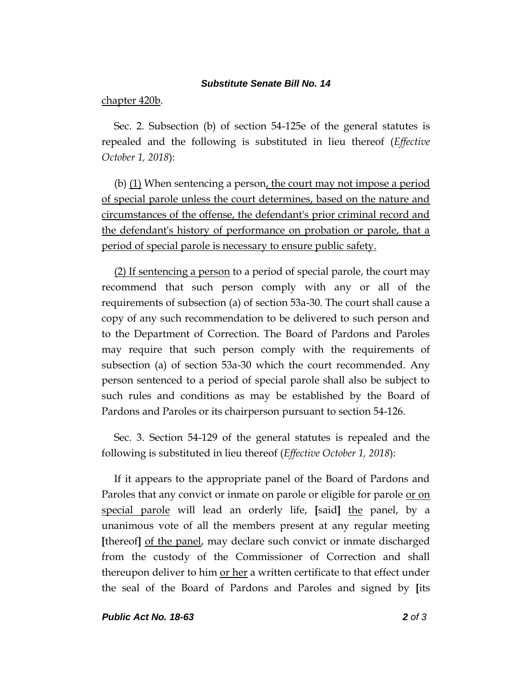## *Substitute Senate Bill No. 14*

## chapter 420b.

Sec. 2. Subsection (b) of section 54-125e of the general statutes is repealed and the following is substituted in lieu thereof (*Effective October 1, 2018*):

(b)  $(1)$  When sentencing a person, the court may not impose a period of special parole unless the court determines, based on the nature and circumstances of the offense, the defendant's prior criminal record and the defendant's history of performance on probation or parole, that a period of special parole is necessary to ensure public safety.

(2) If sentencing a person to a period of special parole, the court may recommend that such person comply with any or all of the requirements of subsection (a) of section 53a-30. The court shall cause a copy of any such recommendation to be delivered to such person and to the Department of Correction. The Board of Pardons and Paroles may require that such person comply with the requirements of subsection (a) of section 53a-30 which the court recommended. Any person sentenced to a period of special parole shall also be subject to such rules and conditions as may be established by the Board of Pardons and Paroles or its chairperson pursuant to section 54-126.

Sec. 3. Section 54-129 of the general statutes is repealed and the following is substituted in lieu thereof (*Effective October 1, 2018*):

If it appears to the appropriate panel of the Board of Pardons and Paroles that any convict or inmate on parole or eligible for parole or on special parole will lead an orderly life, **[**said**]** the panel, by a unanimous vote of all the members present at any regular meeting **[**thereof**]** of the panel, may declare such convict or inmate discharged from the custody of the Commissioner of Correction and shall thereupon deliver to him <u>or her</u> a written certificate to that effect under the seal of the Board of Pardons and Paroles and signed by **[**its